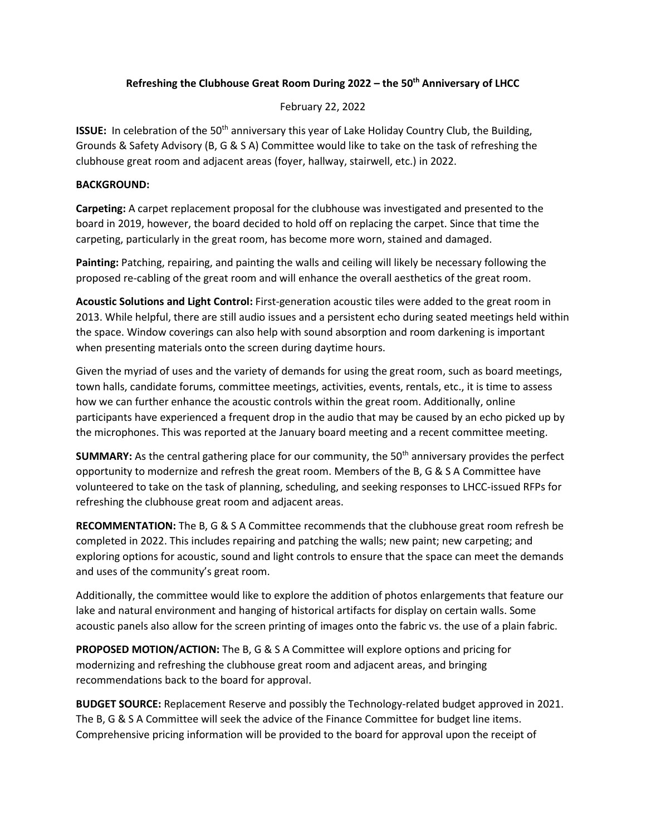## **Refreshing the Clubhouse Great Room During 2022 – the 50th Anniversary of LHCC**

February 22, 2022

**ISSUE:** In celebration of the 50<sup>th</sup> anniversary this year of Lake Holiday Country Club, the Building, Grounds & Safety Advisory (B, G & S A) Committee would like to take on the task of refreshing the clubhouse great room and adjacent areas (foyer, hallway, stairwell, etc.) in 2022.

## **BACKGROUND:**

**Carpeting:** A carpet replacement proposal for the clubhouse was investigated and presented to the board in 2019, however, the board decided to hold off on replacing the carpet. Since that time the carpeting, particularly in the great room, has become more worn, stained and damaged.

**Painting:** Patching, repairing, and painting the walls and ceiling will likely be necessary following the proposed re-cabling of the great room and will enhance the overall aesthetics of the great room.

**Acoustic Solutions and Light Control:** First-generation acoustic tiles were added to the great room in 2013. While helpful, there are still audio issues and a persistent echo during seated meetings held within the space. Window coverings can also help with sound absorption and room darkening is important when presenting materials onto the screen during daytime hours.

Given the myriad of uses and the variety of demands for using the great room, such as board meetings, town halls, candidate forums, committee meetings, activities, events, rentals, etc., it is time to assess how we can further enhance the acoustic controls within the great room. Additionally, online participants have experienced a frequent drop in the audio that may be caused by an echo picked up by the microphones. This was reported at the January board meeting and a recent committee meeting.

**SUMMARY:** As the central gathering place for our community, the 50<sup>th</sup> anniversary provides the perfect opportunity to modernize and refresh the great room. Members of the B, G & S A Committee have volunteered to take on the task of planning, scheduling, and seeking responses to LHCC-issued RFPs for refreshing the clubhouse great room and adjacent areas.

**RECOMMENTATION:** The B, G & S A Committee recommends that the clubhouse great room refresh be completed in 2022. This includes repairing and patching the walls; new paint; new carpeting; and exploring options for acoustic, sound and light controls to ensure that the space can meet the demands and uses of the community's great room.

Additionally, the committee would like to explore the addition of photos enlargements that feature our lake and natural environment and hanging of historical artifacts for display on certain walls. Some acoustic panels also allow for the screen printing of images onto the fabric vs. the use of a plain fabric.

**PROPOSED MOTION/ACTION:** The B, G & S A Committee will explore options and pricing for modernizing and refreshing the clubhouse great room and adjacent areas, and bringing recommendations back to the board for approval.

**BUDGET SOURCE:** Replacement Reserve and possibly the Technology-related budget approved in 2021. The B, G & S A Committee will seek the advice of the Finance Committee for budget line items. Comprehensive pricing information will be provided to the board for approval upon the receipt of